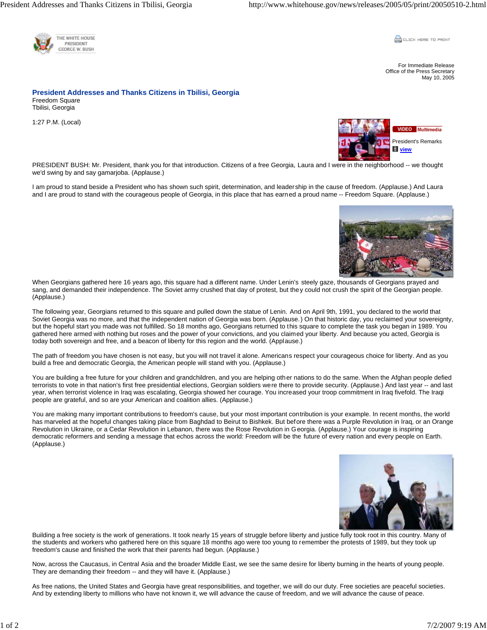

**CLICK HERE TO PRINT** 

For Immediate Release Office of the Press Secretary May 10, 2005

**President Addresses and Thanks Citizens in Tbilisi, Georgia**  Freedom Square Tbilisi, Georgia

1:27 P.M. (Local)



PRESIDENT BUSH: Mr. President, thank you for that introduction. Citizens of a free Georgia, Laura and I were in the neighborhood -- we thought we'd swing by and say gamarjoba. (Applause.)

I am proud to stand beside a President who has shown such spirit, determination, and leadership in the cause of freedom. (Applause.) And Laura and I are proud to stand with the courageous people of Georgia, in this place that has earned a proud name -- Freedom Square. (Applause.)



When Georgians gathered here 16 years ago, this square had a different name. Under Lenin's steely gaze, thousands of Georgians prayed and sang, and demanded their independence. The Soviet army crushed that day of protest, but they could not crush the spirit of the Georgian people. (Applause.)

The following year, Georgians returned to this square and pulled down the statue of Lenin. And on April 9th, 1991, you declared to the world that Soviet Georgia was no more, and that the independent nation of Georgia was born. (Applause.) On that historic day, you reclaimed your sovereignty, but the hopeful start you made was not fulfilled. So 18 months ago, Georgians returned to this square to complete the task you began in 1989. You gathered here armed with nothing but roses and the power of your convictions, and you claimed your liberty. And because you acted, Georgia is today both sovereign and free, and a beacon of liberty for this region and the world. (Applause.)

The path of freedom you have chosen is not easy, but you will not travel it alone. Americans respect your courageous choice for liberty. And as you build a free and democratic Georgia, the American people will stand with you. (Applause.)

You are building a free future for your children and grandchildren, and you are helping other nations to do the same. When the Afghan people defied terrorists to vote in that nation's first free presidential elections, Georgian soldiers were there to provide security. (Applause.) And last year -- and last year, when terrorist violence in Iraq was escalating, Georgia showed her courage. You increased your troop commitment in Iraq fivefold. The Iraqi people are grateful, and so are your American and coalition allies. (Applause.)

You are making many important contributions to freedom's cause, but your most important contribution is your example. In recent months, the world has marveled at the hopeful changes taking place from Baghdad to Beirut to Bishkek. But before there was a Purple Revolution in Iraq, or an Orange Revolution in Ukraine, or a Cedar Revolution in Lebanon, there was the Rose Revolution in Georgia. (Applause.) Your courage is inspiring democratic reformers and sending a message that echos across the world: Freedom will be the future of every nation and every people on Earth. (Applause.)



Building a free society is the work of generations. It took nearly 15 years of struggle before liberty and justice fully took root in this country. Many of the students and workers who gathered here on this square 18 months ago were too young to remember the protests of 1989, but they took up freedom's cause and finished the work that their parents had begun. (Applause.)

Now, across the Caucasus, in Central Asia and the broader Middle East, we see the same desire for liberty burning in the hearts of young people. They are demanding their freedom -- and they will have it. (Applause.)

As free nations, the United States and Georgia have great responsibilities, and together, we will do our duty. Free societies are peaceful societies. And by extending liberty to millions who have not known it, we will advance the cause of freedom, and we will advance the cause of peace.